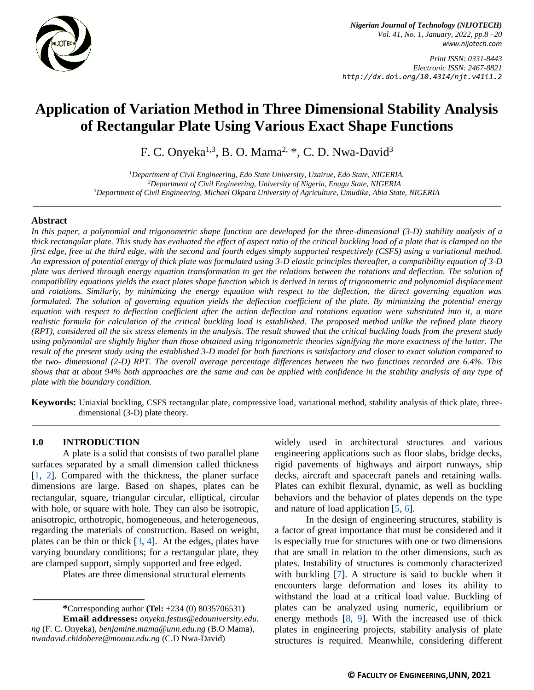

*Nigerian Journal of Technology (NIJOTECH) Vol. 41, No. 1, January, 2022, pp.8 –20 [www.nijotech.com](http://www.nijotech.com/)*

*Print ISSN: 0331-8443 Electronic ISSN: 2467-8821 http://dx.doi.org/10.4314/njt.v41i1.2*

# **Application of Variation Method in Three Dimensional Stability Analysis of Rectangular Plate Using Various Exact Shape Functions**

F. C. Onyeka<sup>1,3</sup>, B. O. Mama<sup>2,</sup> \*, C. D. Nwa-David<sup>3</sup>

*<sup>1</sup>Department of Civil Engineering, Edo State University, Uzairue, Edo State, NIGERIA. <sup>2</sup>Department of Civil Engineering, University of Nigeria, Enugu State, NIGERIA <sup>3</sup>Department of Civil Engineering, Michael Okpara University of Agriculture, Umudike, Abia State, NIGERIA*

## **Abstract**

*In this paper, a polynomial and trigonometric shape function are developed for the three-dimensional (3-D) stability analysis of a thick rectangular plate. This study has evaluated the effect of aspect ratio of the critical buckling load of a plate that is clamped on the first edge, free at the third edge, with the second and fourth edges simply supported respectively (CSFS) using a variational method. An expression of potential energy of thick plate was formulated using 3-D elastic principles thereafter, a compatibility equation of 3-D plate was derived through energy equation transformation to get the relations between the rotations and deflection. The solution of compatibility equations yields the exact plates shape function which is derived in terms of trigonometric and polynomial displacement and rotations. Similarly, by minimizing the energy equation with respect to the deflection, the direct governing equation was formulated. The solution of governing equation yields the deflection coefficient of the plate. By minimizing the potential energy equation with respect to deflection coefficient after the action deflection and rotations equation were substituted into it, a more realistic formula for calculation of the critical buckling load is established. The proposed method unlike the refined plate theory (RPT), considered all the six stress elements in the analysis. The result showed that the critical buckling loads from the present study using polynomial are slightly higher than those obtained using trigonometric theories signifying the more exactness of the latter. The result of the present study using the established 3-D model for both functions is satisfactory and closer to exact solution compared to the two- dimensional (2-D) RPT. The overall average percentage differences between the two functions recorded are 6.4%. This shows that at about 94% both approaches are the same and can be applied with confidence in the stability analysis of any type of plate with the boundary condition.*

**Keywords:** Uniaxial buckling, CSFS rectangular plate, compressive load, variational method, stability analysis of thick plate, threedimensional (3-D) plate theory*.*

#### **1.0 INTRODUCTION**

A plate is a solid that consists of two parallel plane surfaces separated by a small dimension called thickness [\[1,](#page-11-0) [2\]](#page-11-1). Compared with the thickness, the planer surface dimensions are large. Based on shapes, plates can be rectangular, square, triangular circular, elliptical, circular with hole, or square with hole. They can also be isotropic, anisotropic, orthotropic, homogeneous, and heterogeneous, regarding the materials of construction. Based on weight, plates can be thin or thick [\[3,](#page-11-2) [4\]](#page-11-3). At the edges, plates have varying boundary conditions; for a rectangular plate, they are clamped support, simply supported and free edged.

Plates are three dimensional structural elements

**\***Corresponding author **[\(Te](mailto:samnnaemeka.ugwu@unn.edu.ng)l:** +234 (0) 8035706531**) Email addresses:** *[onyeka.festus@edouniversity.e](mailto:onyeka.festus@edouniversity)du. ng* (F. C. Onyeka), *[benjamine.mama@unn.edu.ng](mailto:benjamine.mama@unn.edu.ng)* (B.O Mama), *nwadavid.chidobere@mouau.edu.ng* (C.D Nwa-David)

widely used in architectural structures and various engineering applications such as floor slabs, bridge decks, rigid pavements of highways and airport runways, ship decks, aircraft and spacecraft panels and retaining walls. Plates can exhibit flexural, dynamic, as well as buckling behaviors and the behavior of plates depends on the type and nature of load application [\[5,](#page-11-4) [6\]](#page-11-5).

In the design of engineering structures, stability is a factor of great importance that must be considered and it is especially true for structures with one or two dimensions that are small in relation to the other dimensions, such as plates. Instability of structures is commonly characterized with buckling [\[7\]](#page-11-6). A structure is said to buckle when it encounters large deformation and loses its ability to withstand the load at a critical load value. Buckling of plates can be analyzed using numeric, equilibrium or energy methods [\[8,](#page-11-7) [9\]](#page-11-8). With the increased use of thick plates in engineering projects, stability analysis of plate structures is required. Meanwhile, considering different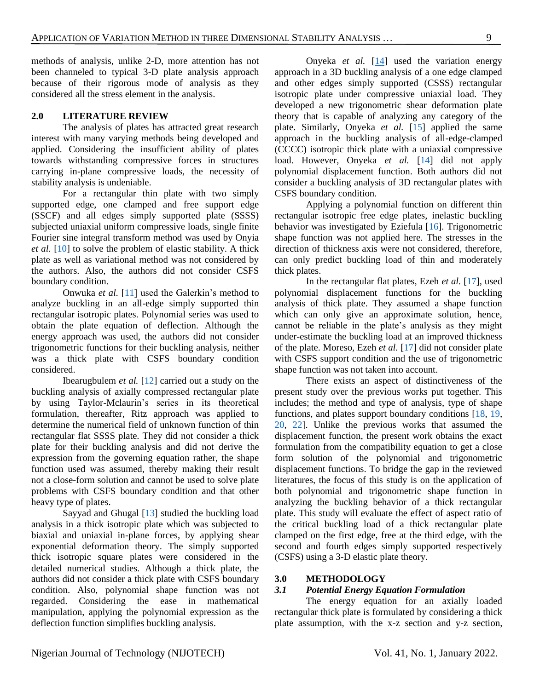methods of analysis, unlike 2-D, more attention has not been channeled to typical 3-D plate analysis approach because of their rigorous mode of analysis as they considered all the stress element in the analysis.

#### **2.0 LITERATURE REVIEW**

The analysis of plates has attracted great research interest with many varying methods being developed and applied. Considering the insufficient ability of plates towards withstanding compressive forces in structures carrying in-plane compressive loads, the necessity of stability analysis is undeniable.

For a rectangular thin plate with two simply supported edge, one clamped and free support edge (SSCF) and all edges simply supported plate (SSSS) subjected uniaxial uniform compressive loads, single finite Fourier sine integral transform method was used by Onyia *et al.* [\[10\]](#page-11-9) to solve the problem of elastic stability. A thick plate as well as variational method was not considered by the authors. Also, the authors did not consider CSFS boundary condition.

Onwuka *et al.* [\[11\]](#page-11-10) used the Galerkin's method to analyze buckling in an all-edge simply supported thin rectangular isotropic plates. Polynomial series was used to obtain the plate equation of deflection. Although the energy approach was used, the authors did not consider trigonometric functions for their buckling analysis, neither was a thick plate with CSFS boundary condition considered.

Ibearugbulem *et al.* [\[12\]](#page-11-11) carried out a study on the buckling analysis of axially compressed rectangular plate by using Taylor-Mclaurin's series in its theoretical formulation, thereafter, Ritz approach was applied to determine the numerical field of unknown function of thin rectangular flat SSSS plate. They did not consider a thick plate for their buckling analysis and did not derive the expression from the governing equation rather, the shape function used was assumed, thereby making their result not a close-form solution and cannot be used to solve plate problems with CSFS boundary condition and that other heavy type of plates.

Sayyad and Ghugal [\[13\]](#page-11-12) studied the buckling load analysis in a thick isotropic plate which was subjected to biaxial and uniaxial in-plane forces, by applying shear exponential deformation theory. The simply supported thick isotropic square plates were considered in the detailed numerical studies. Although a thick plate, the authors did not consider a thick plate with CSFS boundary condition. Also, polynomial shape function was not regarded. Considering the ease in mathematical manipulation, applying the polynomial expression as the deflection function simplifies buckling analysis.

Onyeka *et al.* [\[14\]](#page-12-0) used the variation energy approach in a 3D buckling analysis of a one edge clamped and other edges simply supported (CSSS) rectangular isotropic plate under compressive uniaxial load. They developed a new trigonometric shear deformation plate theory that is capable of analyzing any category of the plate. Similarly, Onyeka *et al.* [\[15\]](#page-12-1) applied the same approach in the buckling analysis of all-edge-clamped (CCCC) isotropic thick plate with a uniaxial compressive load. However, Onyeka *et al.* [\[14\]](#page-12-0) did not apply polynomial displacement function. Both authors did not consider a buckling analysis of 3D rectangular plates with CSFS boundary condition.

Applying a polynomial function on different thin rectangular isotropic free edge plates, inelastic buckling behavior was investigated by Eziefula [\[16\]](#page-12-2). Trigonometric shape function was not applied here. The stresses in the direction of thickness axis were not considered, therefore, can only predict buckling load of thin and moderately thick plates.

In the rectangular flat plates, Ezeh *et al.* [\[17\]](#page-12-3), used polynomial displacement functions for the buckling analysis of thick plate. They assumed a shape function which can only give an approximate solution, hence, cannot be reliable in the plate's analysis as they might under-estimate the buckling load at an improved thickness of the plate. Moreso, Ezeh *et al.* [\[17\]](#page-12-3) did not consider plate with CSFS support condition and the use of trigonometric shape function was not taken into account.

There exists an aspect of distinctiveness of the present study over the previous works put together. This includes; the method and type of analysis, type of shape functions, and plates support boundary conditions [\[18,](#page-12-4) [19,](#page-12-5) [20,](#page-12-6) [22\]](#page-12-7). Unlike the previous works that assumed the displacement function, the present work obtains the exact formulation from the compatibility equation to get a close form solution of the polynomial and trigonometric displacement functions. To bridge the gap in the reviewed literatures, the focus of this study is on the application of both polynomial and trigonometric shape function in analyzing the buckling behavior of a thick rectangular plate. This study will evaluate the effect of aspect ratio of the critical buckling load of a thick rectangular plate clamped on the first edge, free at the third edge, with the second and fourth edges simply supported respectively (CSFS) using a 3-D elastic plate theory.

#### **3.0 METHODOLOGY**

## *3.1 Potential Energy Equation Formulation*

The energy equation for an axially loaded rectangular thick plate is formulated by considering a thick plate assumption, with the x-z section and y-z section,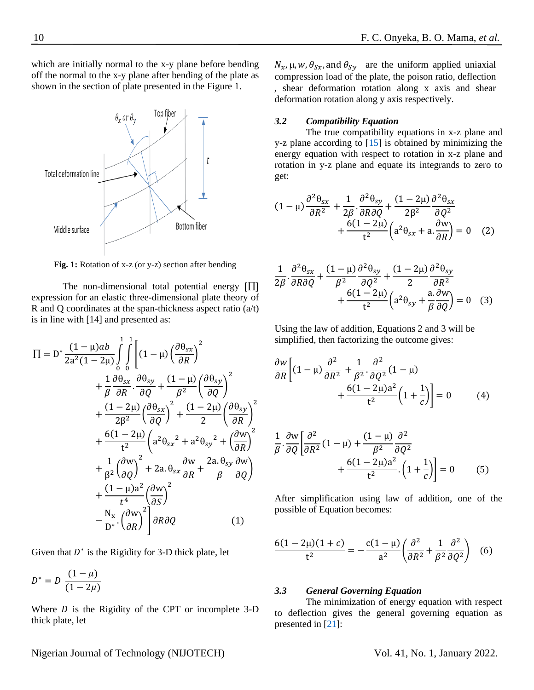which are initially normal to the x-y plane before bending off the normal to the x-y plane after bending of the plate as shown in the section of plate presented in the Figure 1.



Fig. 1: Rotation of x-z (or y-z) section after bending

The non-dimensional total potential energy  $\left[\prod\right]$ expression for an elastic three-dimensional plate theory of R and Q coordinates at the span-thickness aspect ratio (a/t) is in line with [14] and presented as:

$$
\Pi = D^* \frac{(1 - \mu)ab}{2a^2(1 - 2\mu)} \int_0^1 \int_0^1 \left[ (1 - \mu) \left( \frac{\partial \theta_{sx}}{\partial R} \right)^2 + \frac{1}{\beta} \frac{\partial \theta_{sx}}{\partial R} \cdot \frac{\partial \theta_{sy}}{\partial Q} + \frac{(1 - \mu)}{\beta^2} \left( \frac{\partial \theta_{sy}}{\partial Q} \right)^2 + \frac{(1 - 2\mu)}{2\beta^2} \left( \frac{\partial \theta_{sx}}{\partial Q} \right)^2 + \frac{(1 - 2\mu)}{2} \left( \frac{\partial \theta_{sy}}{\partial R} \right)^2 + \frac{6(1 - 2\mu)}{t^2} \left( a^2 \theta_{sx}^2 + a^2 \theta_{sy}^2 + \left( \frac{\partial w}{\partial R} \right)^2 + \frac{1}{\beta^2} \left( \frac{\partial w}{\partial Q} \right)^2 + 2a \cdot \theta_{sx} \frac{\partial w}{\partial R} + \frac{2a \cdot \theta_{sy}}{\beta} \frac{\partial w}{\partial Q} + \frac{(1 - \mu)a^2}{t^4} \left( \frac{\partial w}{\partial S} \right)^2 - \frac{N_x}{D^*} \cdot \left( \frac{\partial w}{\partial R} \right)^2 \right] \partial R \partial Q \tag{1}
$$

Given that  $D^*$  is the Rigidity for 3-D thick plate, let

$$
D^* = D \; \frac{(1 - \mu)}{(1 - 2\mu)}
$$

Where  $D$  is the Rigidity of the CPT or incomplete 3-D thick plate, let

 $N_x$ ,  $\mu$ ,  $w$ ,  $\theta_{Sx}$ , and  $\theta_{Sy}$  are the uniform applied uniaxial compression load of the plate, the poison ratio, deflection , shear deformation rotation along x axis and shear deformation rotation along y axis respectively.

#### *3.2 Compatibility Equation*

The true compatibility equations in x-z plane and y-z plane according to [\[15\]](#page-12-1) is obtained by minimizing the energy equation with respect to rotation in x-z plane and rotation in y-z plane and equate its integrands to zero to get:

$$
(1 - \mu) \frac{\partial^2 \theta_{sx}}{\partial R^2} + \frac{1}{2\beta} \cdot \frac{\partial^2 \theta_{sy}}{\partial R \partial Q} + \frac{(1 - 2\mu)}{2\beta^2} \frac{\partial^2 \theta_{sx}}{\partial Q^2} + \frac{6(1 - 2\mu)}{t^2} \left( a^2 \theta_{sx} + a \cdot \frac{\partial w}{\partial R} \right) = 0 \quad (2)
$$

$$
\frac{1}{2\beta} \cdot \frac{\partial^2 \theta_{sx}}{\partial R \partial Q} + \frac{(1-\mu)}{\beta^2} \frac{\partial^2 \theta_{sy}}{\partial Q^2} + \frac{(1-2\mu)}{2} \frac{\partial^2 \theta_{sy}}{\partial R^2} + \frac{6(1-2\mu)}{t^2} \left( a^2 \theta_{sy} + \frac{a}{\beta} \frac{\partial w}{\partial Q} \right) = 0 \quad (3)
$$

Using the law of addition, Equations 2 and 3 will be simplified, then factorizing the outcome gives:

$$
\frac{\partial w}{\partial R} \left[ (1 - \mu) \frac{\partial^2}{\partial R^2} + \frac{1}{\beta^2} \frac{\partial^2}{\partial Q^2} (1 - \mu) + \frac{6(1 - 2\mu)a^2}{t^2} \left( 1 + \frac{1}{c} \right) \right] = 0 \tag{4}
$$

$$
\frac{1}{\beta} \cdot \frac{\partial w}{\partial Q} \left[ \frac{\partial^2}{\partial R^2} (1 - \mu) + \frac{(1 - \mu)}{\beta^2} \frac{\partial^2}{\partial Q^2} + \frac{6(1 - 2\mu)a^2}{t^2} \cdot \left( 1 + \frac{1}{c} \right) \right] = 0 \tag{5}
$$

After simplification using law of addition, one of the possible of Equation becomes:

$$
\frac{6(1-2\mu)(1+c)}{t^2} = -\frac{c(1-\mu)}{a^2} \left(\frac{\partial^2}{\partial R^2} + \frac{1}{\beta^2} \frac{\partial^2}{\partial Q^2}\right) \tag{6}
$$

## *3.3 General Governing Equation*

The minimization of energy equation with respect to deflection gives the general governing equation as presented in [\[21\]](#page-12-8):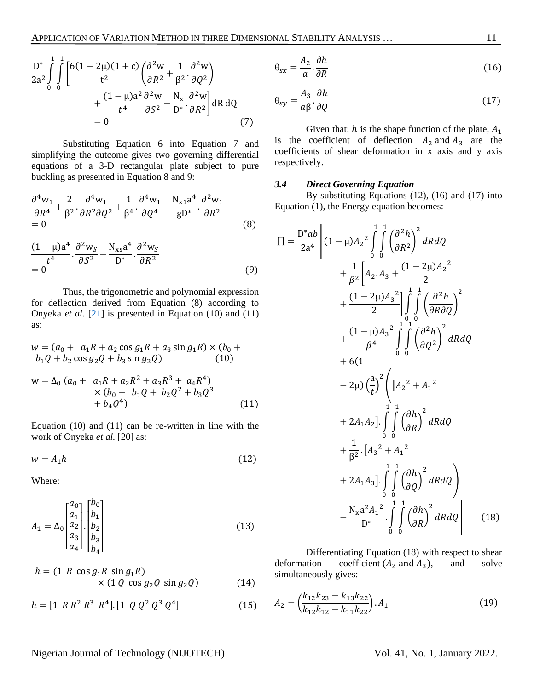$$
\frac{D^*}{2a^2} \int_0^1 \int_0^1 \left[ \frac{6(1 - 2\mu)(1 + c)}{t^2} \left( \frac{\partial^2 w}{\partial R^2} + \frac{1}{\beta^2} \cdot \frac{\partial^2 w}{\partial Q^2} \right) + \frac{(1 - \mu)a^2}{t^4} \frac{\partial^2 w}{\partial S^2} - \frac{N_x}{D^*} \cdot \frac{\partial^2 w}{\partial R^2} \right] dR dQ
$$
  
= 0 (7)

Substituting Equation 6 into Equation 7 and simplifying the outcome gives two governing differential equations of a 3-D rectangular plate subject to pure buckling as presented in Equation 8 and 9:

$$
\frac{\partial^4 w_1}{\partial R^4} + \frac{2}{\beta^2} \cdot \frac{\partial^4 w_1}{\partial R^2 \partial Q^2} + \frac{1}{\beta^4} \cdot \frac{\partial^4 w_1}{\partial Q^4} - \frac{N_{x1} a^4}{g D^*} \cdot \frac{\partial^2 w_1}{\partial R^2}
$$
  
= 0 (8)

$$
\frac{(1-\mu)a^4}{t^4} \cdot \frac{\partial^2 w_S}{\partial S^2} - \frac{N_{xs}a^4}{D^*} \cdot \frac{\partial^2 w_S}{\partial R^2}
$$
  
= 0 (9)

Thus, the trigonometric and polynomial expression for deflection derived from Equation (8) according to Onyeka *et al*. [\[21\]](#page-12-8) is presented in Equation (10) and (11) as:

$$
w = (a_0 + a_1R + a_2 \cos g_1R + a_3 \sin g_1R) \times (b_0 + b_1Q + b_2 \cos g_2Q + b_3 \sin g_2Q)
$$
  
\n
$$
w = \Delta_0 (a_0 + a_1R + a_2R^2 + a_3R^3 + a_4R^4)
$$
  
\n
$$
\times (b_0 + b_1Q + b_2Q^2 + b_3Q^3 + b_4Q^4)
$$
  
\n(11)

Equation (10) and (11) can be re-written in line with the work of Onyeka *et al.* [20] as:

$$
w = A_1 h \tag{12}
$$

Where:

$$
A_1 = \Delta_0 \begin{bmatrix} a_0 \\ a_1 \\ a_2 \\ a_3 \\ a_4 \end{bmatrix} \begin{bmatrix} b_0 \\ b_1 \\ b_2 \\ b_3 \\ b_4 \end{bmatrix}
$$
 (13)

$$
h = (1 \ R \cos g_1 R \sin g_1 R)
$$
  
× (1 Q cos g<sub>2</sub> Q sin g<sub>2</sub>Q) (14)

$$
h = [1 \ R \ R^2 \ R^3 \ R^4]. [1 \ Q \ Q^2 \ Q^3 \ Q^4]
$$
 (15)

$$
\theta_{sx} = \frac{A_2}{a} \cdot \frac{\partial h}{\partial R} \tag{16}
$$

$$
\theta_{sy} = \frac{A_3}{a\beta} \cdot \frac{\partial h}{\partial Q} \tag{17}
$$

Given that:  $h$  is the shape function of the plate,  $A_1$ is the coefficient of deflection  $A_2$  and  $A_3$  are the coefficients of shear deformation in x axis and y axis respectively.

#### *3.4 Direct Governing Equation*

By substituting Equations (12), (16) and (17) into Equation (1), the Energy equation becomes:

$$
\Pi = \frac{D^* ab}{2a^4} \left[ (1 - \mu) A_2^2 \int_0^1 \int_0^1 \left( \frac{\partial^2 h}{\partial R^2} \right)^2 dR dQ + \frac{1}{\beta^2} \left[ A_2 A_3 + \frac{(1 - 2\mu) A_2^2}{2} + \frac{(1 - 2\mu) A_3^2}{2} \right]_0^1 \int_0^1 \left( \frac{\partial^2 h}{\partial R \partial Q} \right)^2 + \frac{(1 - \mu) A_3^2}{\beta^4} \int_0^1 \int_0^1 \left( \frac{\partial^2 h}{\partial Q^2} \right)^2 dR dQ + 6(1 - 2\mu) \left( \frac{a}{t} \right)^2 \left[ A_2^2 + A_1^2 \right] + 2A_1 A_2 \left[ \int_0^1 \int_0^1 \left( \frac{\partial h}{\partial R} \right)^2 dR dQ + \frac{1}{\beta^2} \cdot [A_3^2 + A_1^2] + 2A_1 A_3 \left[ \int_0^1 \int_0^1 \left( \frac{\partial h}{\partial Q} \right)^2 dR dQ \right) - \frac{N_x a^2 A_1^2}{D^*} \cdot \int_0^1 \int_0^1 \left( \frac{\partial h}{\partial R} \right)^2 dR dQ \right] (18)
$$

Differentiating Equation (18) with respect to shear deformation coefficient  $(A_2 \text{ and } A_3)$ , and solve simultaneously gives:

$$
A_2 = \left(\frac{k_{12}k_{23} - k_{13}k_{22}}{k_{12}k_{12} - k_{11}k_{22}}\right). A_1
$$
 (19)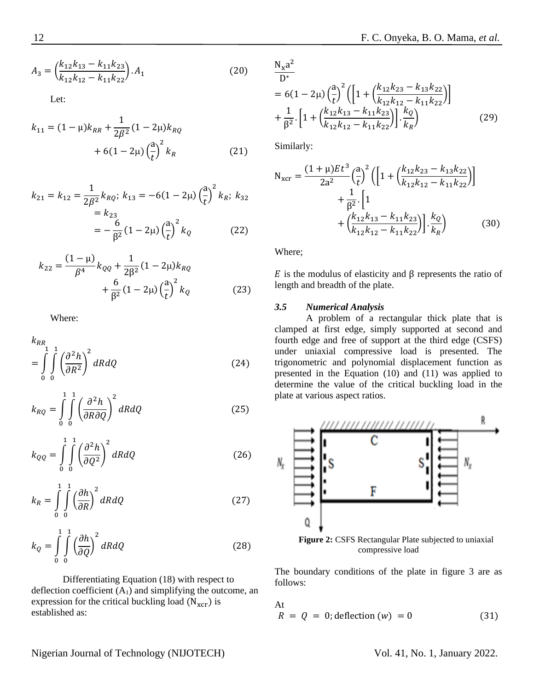$$
A_3 = \left(\frac{k_{12}k_{13} - k_{11}k_{23}}{k_{12}k_{12} - k_{11}k_{22}}\right). A_1
$$
 (20)

Let:

$$
k_{11} = (1 - \mu)k_{RR} + \frac{1}{2\beta^2}(1 - 2\mu)k_{RQ} + 6(1 - 2\mu)\left(\frac{a}{t}\right)^2 k_R
$$
 (21)

$$
k_{21} = k_{12} = \frac{1}{2\beta^2} k_{RQ}; k_{13} = -6(1 - 2\mu) \left(\frac{a}{t}\right)^2 k_R; k_{32}
$$
  
=  $k_{23}$   
=  $-\frac{6}{\beta^2} (1 - 2\mu) \left(\frac{a}{t}\right)^2 k_Q$  (22)

$$
k_{22} = \frac{(1 - \mu)}{\beta^4} k_{QQ} + \frac{1}{2\beta^2} (1 - 2\mu) k_{RQ} + \frac{6}{\beta^2} (1 - 2\mu) \left(\frac{a}{t}\right)^2 k_Q \tag{23}
$$

Where:

$$
k_{RR} = \int_{0}^{1} \int_{0}^{1} \left(\frac{\partial^2 h}{\partial R^2}\right)^2 dR dQ
$$
 (24)

$$
k_{RQ} = \int_{0}^{1} \int_{0}^{1} \left(\frac{\partial^2 h}{\partial R \partial Q}\right)^2 dR dQ
$$
 (25)

$$
k_{QQ} = \int_{0}^{1} \int_{0}^{1} \left(\frac{\partial^2 h}{\partial Q^2}\right)^2 dR dQ
$$
 (26)

$$
k_R = \int\limits_0^1 \int\limits_0^1 \left(\frac{\partial h}{\partial R}\right)^2 dR dQ \tag{27}
$$

$$
k_Q = \int\limits_0^1 \int\limits_0^1 \left(\frac{\partial h}{\partial Q}\right)^2 dR dQ \tag{28}
$$

Differentiating Equation (18) with respect to deflection coefficient  $(A_1)$  and simplifying the outcome, an expression for the critical buckling load  $(N<sub>xc</sub>)$  is established as:

 $N_xa^2$ D∗  $= 6(1 - 2\mu) \left(\frac{a}{l}\right)$  $\frac{1}{t}$ 2  $\left(\left[1 + \left(\frac{k_{12}k_{23} - k_{13}k_{22}}{k_{11}k_{13} + k_{12}k_{23}}\right)\right]\right)$  $\frac{k_{12}k_{12}-k_{11}k_{22}}{k_{12}k_{12}-k_{11}k_{22}}$ + 1  $\frac{1}{\beta^2}$ .  $\left[1+\left(\frac{k_{12}k_{13}-k_{11}k_{23}}{k_{12}k_{12}-k_{11}k_{22}}\right)\right]$  $\frac{k_{12}k_{13} - k_{11}k_{23}}{k_{12}k_{12} - k_{11}k_{22}}\Big] \cdot \frac{k_Q}{k_R}$  $\frac{Q}{k_R}$  (29)

Similarly:

$$
N_{\text{xcr}} = \frac{(1+\mu)Et^3}{2a^2} \left(\frac{a}{t}\right)^2 \left( \left[ 1 + \left(\frac{k_{12}k_{23} - k_{13}k_{22}}{k_{12}k_{12} - k_{11}k_{22}}\right) \right] + \frac{1}{\beta^2} \cdot \left[ 1 + \left(\frac{k_{12}k_{13} - k_{11}k_{23}}{k_{12}k_{12} - k_{11}k_{22}}\right) \right] \cdot \frac{k_Q}{k_R} \right)
$$
(30)

Where;

 $E$  is the modulus of elasticity and β represents the ratio of length and breadth of the plate.

## *3.5 Numerical Analysis*

A problem of a rectangular thick plate that is clamped at first edge, simply supported at second and fourth edge and free of support at the third edge (CSFS) under uniaxial compressive load is presented. The trigonometric and polynomial displacement function as presented in the Equation (10) and (11) was applied to determine the value of the critical buckling load in the plate at various aspect ratios.



The boundary conditions of the plate in figure 3 are as follows:

At  
\n
$$
R = Q = 0
$$
; deflection (w) = 0 (31)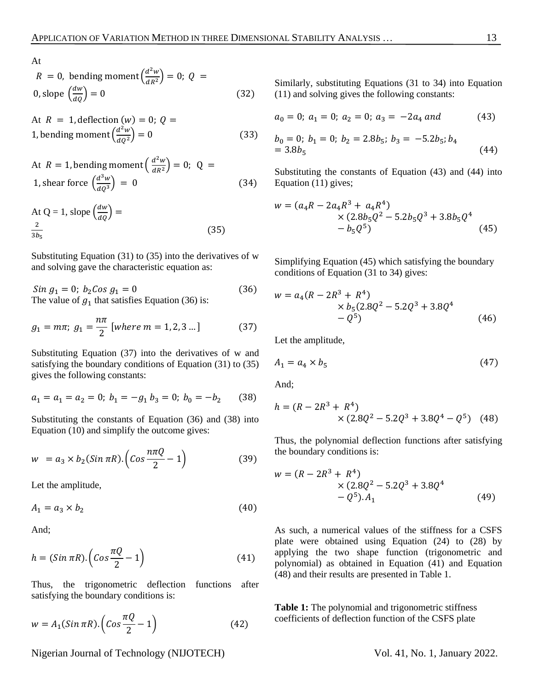At

$$
R = 0, \text{ bending moment} \left( \frac{d^2 w}{dR^2} \right) = 0; \ Q = 0, \text{slope} \left( \frac{dw}{dQ} \right) = 0 \tag{32}
$$

At 
$$
R = 1
$$
, deflection  $(w) = 0$ ;  $Q = 1$ , bending moment  $\left(\frac{d^2 w}{d Q^2}\right) = 0$  (33)

At 
$$
R = 1
$$
, bending moment  $\left(\frac{d^2 w}{dR^2}\right) = 0$ ;  $Q = 1$ , shear force  $\left(\frac{d^3 w}{dQ^3}\right) = 0$  (34)

At Q = 1, slope 
$$
\left(\frac{dw}{dQ}\right)
$$
 =  
 $\frac{2}{3b_5}$  (35)

Substituting Equation (31) to (35) into the derivatives of w and solving gave the characteristic equation as:

$$
Sin g1 = 0; b2Cos g1 = 0
$$
 (36)  
The value of g<sub>1</sub> that satisfies Equation (36) is:

$$
g_1 = m\pi; \ g_1 = \frac{n\pi}{2} \text{ [where } m = 1, 2, 3 \dots] \tag{37}
$$

Substituting Equation (37) into the derivatives of w and satisfying the boundary conditions of Equation (31) to (35) gives the following constants:

$$
a_1 = a_1 = a_2 = 0; b_1 = -g_1 b_3 = 0; b_0 = -b_2 \tag{38}
$$

Substituting the constants of Equation (36) and (38) into Equation (10) and simplify the outcome gives:

$$
w = a_3 \times b_2(Sin \pi R) \cdot \left( \cos \frac{n \pi Q}{2} - 1 \right) \tag{39}
$$

Let the amplitude,

$$
A_1 = a_3 \times b_2 \tag{40}
$$

And;

$$
h = (Sin \pi R). (Cos \frac{\pi Q}{2} - 1)
$$
 (41)

Thus, the trigonometric deflection functions after satisfying the boundary conditions is:

$$
w = A_1(Sin \pi R) \cdot \left( \cos \frac{\pi Q}{2} - 1 \right) \tag{42}
$$

Nigerian Journal of Technology (NIJOTECH) Vol. 41, No. 1, January 2022.

Similarly, substituting Equations (31 to 34) into Equation (11) and solving gives the following constants:

$$
a_0 = 0; \ a_1 = 0; \ a_2 = 0; \ a_3 = -2a_4 \ and \qquad \qquad (43)
$$

$$
b_0 = 0; b_1 = 0; b_2 = 2.8b_5; b_3 = -5.2b_5; b_4
$$
  
= 3.8b<sub>5</sub> (44)

Substituting the constants of Equation (43) and (44) into Equation (11) gives;

$$
w = (a_4R - 2a_4R^3 + a_4R^4) \times (2.8b_5Q^2 - 5.2b_5Q^3 + 3.8b_5Q^4 - b_5Q^5)
$$
\n(45)

Simplifying Equation (45) which satisfying the boundary conditions of Equation (31 to 34) gives:

$$
w = a_4(R - 2R^3 + R^4)
$$
  
\n
$$
\times b_5(2.8Q^2 - 5.2Q^3 + 3.8Q^4 - Q^5)
$$
\n(46)

Let the amplitude,

$$
A_1 = a_4 \times b_5 \tag{47}
$$

And;

$$
h = (R - 2R3 + R4)
$$
  
× (2.8Q<sup>2</sup> – 5.2Q<sup>3</sup> + 3.8Q<sup>4</sup> – Q<sup>5</sup>) (48)

Thus, the polynomial deflection functions after satisfying the boundary conditions is:

$$
w = (R - 2R3 + R4)
$$
  
× (2.8Q<sup>2</sup> - 5.2Q<sup>3</sup> + 3.8Q<sup>4</sup>  
- Q<sup>5</sup>). A<sub>1</sub> (49)

As such, a numerical values of the stiffness for a CSFS plate were obtained using Equation (24) to (28) by applying the two shape function (trigonometric and polynomial) as obtained in Equation (41) and Equation (48) and their results are presented in Table 1.

**Table 1:** The polynomial and trigonometric stiffness coefficients of deflection function of the CSFS plate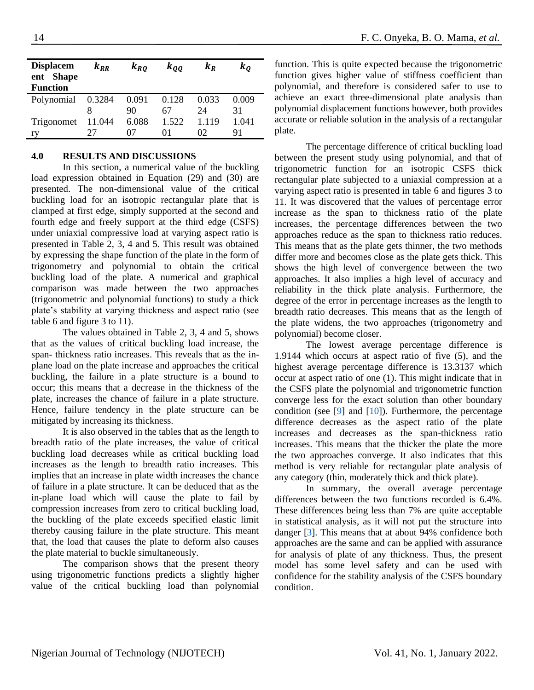| <b>Displacem</b><br>ent Shape<br><b>Function</b> | $k_{RR}$ | $k_{RQ}$ | $k_{OO}$ | $k_R$ | $\bm{k_{O}}$ |
|--------------------------------------------------|----------|----------|----------|-------|--------------|
| Polynomial                                       | 0.3284   | 0.091    | 0.128    | 0.033 | 0.009        |
|                                                  |          | 90       | 67       | 24    | 31           |
| Trigonomet                                       | 11.044   | 6.088    | 1.522    | 1.119 | 1.041        |
| ry                                               |          |          | $^{(1)}$ | 02    | 91           |

## **4.0 RESULTS AND DISCUSSIONS**

In this section, a numerical value of the buckling load expression obtained in Equation (29) and (30) are presented. The non-dimensional value of the critical buckling load for an isotropic rectangular plate that is clamped at first edge, simply supported at the second and fourth edge and freely support at the third edge (CSFS) under uniaxial compressive load at varying aspect ratio is presented in Table 2, 3, 4 and 5. This result was obtained by expressing the shape function of the plate in the form of trigonometry and polynomial to obtain the critical buckling load of the plate. A numerical and graphical comparison was made between the two approaches (trigonometric and polynomial functions) to study a thick plate's stability at varying thickness and aspect ratio (see table 6 and figure 3 to 11).

The values obtained in Table 2, 3, 4 and 5, shows that as the values of critical buckling load increase, the span- thickness ratio increases. This reveals that as the inplane load on the plate increase and approaches the critical buckling, the failure in a plate structure is a bound to occur; this means that a decrease in the thickness of the plate, increases the chance of failure in a plate structure. Hence, failure tendency in the plate structure can be mitigated by increasing its thickness.

It is also observed in the tables that as the length to breadth ratio of the plate increases, the value of critical buckling load decreases while as critical buckling load increases as the length to breadth ratio increases. This implies that an increase in plate width increases the chance of failure in a plate structure. It can be deduced that as the in-plane load which will cause the plate to fail by compression increases from zero to critical buckling load, the buckling of the plate exceeds specified elastic limit thereby causing failure in the plate structure. This meant that, the load that causes the plate to deform also causes the plate material to buckle simultaneously.

The comparison shows that the present theory using trigonometric functions predicts a slightly higher value of the critical buckling load than polynomial function. This is quite expected because the trigonometric function gives higher value of stiffness coefficient than polynomial, and therefore is considered safer to use to achieve an exact three-dimensional plate analysis than polynomial displacement functions however, both provides accurate or reliable solution in the analysis of a rectangular plate.

The percentage difference of critical buckling load between the present study using polynomial, and that of trigonometric function for an isotropic CSFS thick rectangular plate subjected to a uniaxial compression at a varying aspect ratio is presented in table 6 and figures 3 to 11. It was discovered that the values of percentage error increase as the span to thickness ratio of the plate increases, the percentage differences between the two approaches reduce as the span to thickness ratio reduces. This means that as the plate gets thinner, the two methods differ more and becomes close as the plate gets thick. This shows the high level of convergence between the two approaches. It also implies a high level of accuracy and reliability in the thick plate analysis. Furthermore, the degree of the error in percentage increases as the length to breadth ratio decreases. This means that as the length of the plate widens, the two approaches (trigonometry and polynomial) become closer.

The lowest average percentage difference is 1.9144 which occurs at aspect ratio of five (5), and the highest average percentage difference is 13.3137 which occur at aspect ratio of one (1). This might indicate that in the CSFS plate the polynomial and trigonometric function converge less for the exact solution than other boundary condition (see [\[9\]](#page-11-8) and [\[10\]](#page-11-9)). Furthermore, the percentage difference decreases as the aspect ratio of the plate increases and decreases as the span-thickness ratio increases. This means that the thicker the plate the more the two approaches converge. It also indicates that this method is very reliable for rectangular plate analysis of any category (thin, moderately thick and thick plate).

In summary, the overall average percentage differences between the two functions recorded is 6.4%. These differences being less than 7% are quite acceptable in statistical analysis, as it will not put the structure into danger [\[3\]](#page-11-2). This means that at about 94% confidence both approaches are the same and can be applied with assurance for analysis of plate of any thickness. Thus, the present model has some level safety and can be used with confidence for the stability analysis of the CSFS boundary condition.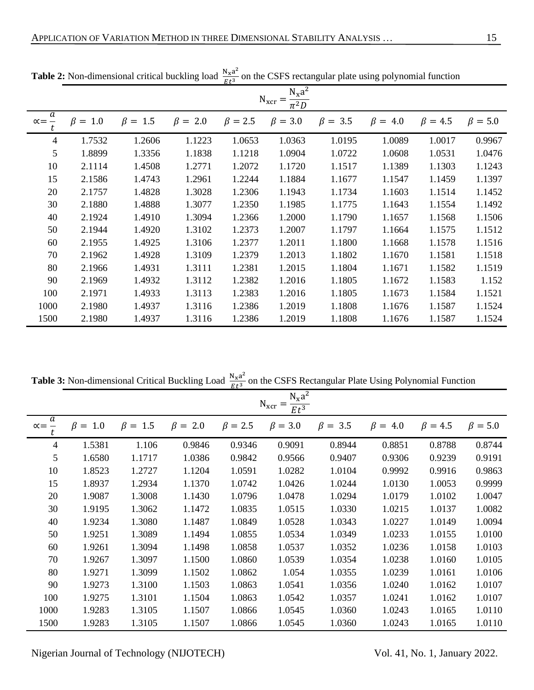|                   |                                                        |               |               | $EL^{\circ}$  |               |               |               |               |               |  |  |  |  |
|-------------------|--------------------------------------------------------|---------------|---------------|---------------|---------------|---------------|---------------|---------------|---------------|--|--|--|--|
|                   | $N_{x}a^{2}$<br>$N_{\rm xcr} =$<br>$\overline{\pi^2D}$ |               |               |               |               |               |               |               |               |  |  |  |  |
| a<br>$\alpha = -$ | $\beta = 1.0$                                          | $\beta = 1.5$ | $\beta = 2.0$ | $\beta = 2.5$ | $\beta = 3.0$ | $\beta = 3.5$ | $\beta = 4.0$ | $\beta = 4.5$ | $\beta = 5.0$ |  |  |  |  |
| $\overline{4}$    | 1.7532                                                 | 1.2606        | 1.1223        | 1.0653        | 1.0363        | 1.0195        | 1.0089        | 1.0017        | 0.9967        |  |  |  |  |
| 5                 | 1.8899                                                 | 1.3356        | 1.1838        | 1.1218        | 1.0904        | 1.0722        | 1.0608        | 1.0531        | 1.0476        |  |  |  |  |
| 10                | 2.1114                                                 | 1.4508        | 1.2771        | 1.2072        | 1.1720        | 1.1517        | 1.1389        | 1.1303        | 1.1243        |  |  |  |  |
| 15                | 2.1586                                                 | 1.4743        | 1.2961        | 1.2244        | 1.1884        | 1.1677        | 1.1547        | 1.1459        | 1.1397        |  |  |  |  |
| 20                | 2.1757                                                 | 1.4828        | 1.3028        | 1.2306        | 1.1943        | 1.1734        | 1.1603        | 1.1514        | 1.1452        |  |  |  |  |
| 30                | 2.1880                                                 | 1.4888        | 1.3077        | 1.2350        | 1.1985        | 1.1775        | 1.1643        | 1.1554        | 1.1492        |  |  |  |  |
| 40                | 2.1924                                                 | 1.4910        | 1.3094        | 1.2366        | 1.2000        | 1.1790        | 1.1657        | 1.1568        | 1.1506        |  |  |  |  |
| 50                | 2.1944                                                 | 1.4920        | 1.3102        | 1.2373        | 1.2007        | 1.1797        | 1.1664        | 1.1575        | 1.1512        |  |  |  |  |
| 60                | 2.1955                                                 | 1.4925        | 1.3106        | 1.2377        | 1.2011        | 1.1800        | 1.1668        | 1.1578        | 1.1516        |  |  |  |  |
| 70                | 2.1962                                                 | 1.4928        | 1.3109        | 1.2379        | 1.2013        | 1.1802        | 1.1670        | 1.1581        | 1.1518        |  |  |  |  |
| 80                | 2.1966                                                 | 1.4931        | 1.3111        | 1.2381        | 1.2015        | 1.1804        | 1.1671        | 1.1582        | 1.1519        |  |  |  |  |
| 90                | 2.1969                                                 | 1.4932        | 1.3112        | 1.2382        | 1.2016        | 1.1805        | 1.1672        | 1.1583        | 1.152         |  |  |  |  |
| 100               | 2.1971                                                 | 1.4933        | 1.3113        | 1.2383        | 1.2016        | 1.1805        | 1.1673        | 1.1584        | 1.1521        |  |  |  |  |
| 1000              | 2.1980                                                 | 1.4937        | 1.3116        | 1.2386        | 1.2019        | 1.1808        | 1.1676        | 1.1587        | 1.1524        |  |  |  |  |
| 1500              | 2.1980                                                 | 1.4937        | 1.3116        | 1.2386        | 1.2019        | 1.1808        | 1.1676        | 1.1587        | 1.1524        |  |  |  |  |

**Table 2:** Non-dimensional critical buckling load  $\frac{N_x a^2}{R_x a^3}$  $\frac{d^{3}x^{d}}{dt^{3}}$  on the CSFS rectangular plate using polynomial function

**Table 3:** Non-dimensional Critical Buckling Load  $\frac{N_x a^2}{R_x a^3}$  $\frac{N_x a}{E t^3}$  on the CSFS Rectangular Plate Using Polynomial Function

|                        | $N_xa^2$<br>$N_{\rm xcr}$<br>$Et^3$ |                  |                  |               |               |                  |                  |               |               |  |  |
|------------------------|-------------------------------------|------------------|------------------|---------------|---------------|------------------|------------------|---------------|---------------|--|--|
| a<br>$\alpha = -$<br>t | $\beta =$<br>1.0                    | 1.5<br>$\beta =$ | 2.0<br>$\beta =$ | $\beta = 2.5$ | $\beta = 3.0$ | $\beta =$<br>3.5 | $\beta =$<br>4.0 | $\beta = 4.5$ | $\beta = 5.0$ |  |  |
| 4                      | 1.5381                              | 1.106            | 0.9846           | 0.9346        | 0.9091        | 0.8944           | 0.8851           | 0.8788        | 0.8744        |  |  |
| 5                      | 1.6580                              | 1.1717           | 1.0386           | 0.9842        | 0.9566        | 0.9407           | 0.9306           | 0.9239        | 0.9191        |  |  |
| 10                     | 1.8523                              | 1.2727           | 1.1204           | 1.0591        | 1.0282        | 1.0104           | 0.9992           | 0.9916        | 0.9863        |  |  |
| 15                     | 1.8937                              | 1.2934           | 1.1370           | 1.0742        | 1.0426        | 1.0244           | 1.0130           | 1.0053        | 0.9999        |  |  |
| 20                     | 1.9087                              | 1.3008           | 1.1430           | 1.0796        | 1.0478        | 1.0294           | 1.0179           | 1.0102        | 1.0047        |  |  |
| 30                     | 1.9195                              | 1.3062           | 1.1472           | 1.0835        | 1.0515        | 1.0330           | 1.0215           | 1.0137        | 1.0082        |  |  |
| 40                     | 1.9234                              | 1.3080           | 1.1487           | 1.0849        | 1.0528        | 1.0343           | 1.0227           | 1.0149        | 1.0094        |  |  |
| 50                     | 1.9251                              | 1.3089           | 1.1494           | 1.0855        | 1.0534        | 1.0349           | 1.0233           | 1.0155        | 1.0100        |  |  |
| 60                     | 1.9261                              | 1.3094           | 1.1498           | 1.0858        | 1.0537        | 1.0352           | 1.0236           | 1.0158        | 1.0103        |  |  |
| 70                     | 1.9267                              | 1.3097           | 1.1500           | 1.0860        | 1.0539        | 1.0354           | 1.0238           | 1.0160        | 1.0105        |  |  |
| 80                     | 1.9271                              | 1.3099           | 1.1502           | 1.0862        | 1.054         | 1.0355           | 1.0239           | 1.0161        | 1.0106        |  |  |
| 90                     | 1.9273                              | 1.3100           | 1.1503           | 1.0863        | 1.0541        | 1.0356           | 1.0240           | 1.0162        | 1.0107        |  |  |
| 100                    | 1.9275                              | 1.3101           | 1.1504           | 1.0863        | 1.0542        | 1.0357           | 1.0241           | 1.0162        | 1.0107        |  |  |
| 1000                   | 1.9283                              | 1.3105           | 1.1507           | 1.0866        | 1.0545        | 1.0360           | 1.0243           | 1.0165        | 1.0110        |  |  |
| 1500                   | 1.9283                              | 1.3105           | 1.1507           | 1.0866        | 1.0545        | 1.0360           | 1.0243           | 1.0165        | 1.0110        |  |  |

Nigerian Journal of Technology (NIJOTECH) Vol. 41, No. 1, January 2022.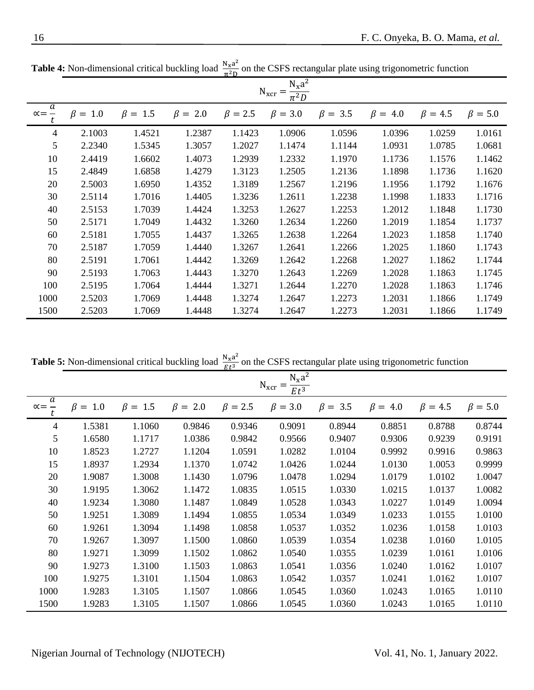|                        |                                 |               |               | π∸D           |               |               |               |               |               |  |  |  |
|------------------------|---------------------------------|---------------|---------------|---------------|---------------|---------------|---------------|---------------|---------------|--|--|--|
|                        | $N_{x}a^{2}$<br>$N_{\rm xcr} =$ |               |               |               |               |               |               |               |               |  |  |  |
| a<br>$\alpha = -$<br>t | $\beta = 1.0$                   | $\beta = 1.5$ | $\beta = 2.0$ | $\beta = 2.5$ | $\beta = 3.0$ | $\beta = 3.5$ | $\beta = 4.0$ | $\beta = 4.5$ | $\beta = 5.0$ |  |  |  |
| $\overline{4}$         | 2.1003                          | 1.4521        | 1.2387        | 1.1423        | 1.0906        | 1.0596        | 1.0396        | 1.0259        | 1.0161        |  |  |  |
| 5                      | 2.2340                          | 1.5345        | 1.3057        | 1.2027        | 1.1474        | 1.1144        | 1.0931        | 1.0785        | 1.0681        |  |  |  |
| 10                     | 2.4419                          | 1.6602        | 1.4073        | 1.2939        | 1.2332        | 1.1970        | 1.1736        | 1.1576        | 1.1462        |  |  |  |
| 15                     | 2.4849                          | 1.6858        | 1.4279        | 1.3123        | 1.2505        | 1.2136        | 1.1898        | 1.1736        | 1.1620        |  |  |  |
| 20                     | 2.5003                          | 1.6950        | 1.4352        | 1.3189        | 1.2567        | 1.2196        | 1.1956        | 1.1792        | 1.1676        |  |  |  |
| 30                     | 2.5114                          | 1.7016        | 1.4405        | 1.3236        | 1.2611        | 1.2238        | 1.1998        | 1.1833        | 1.1716        |  |  |  |
| 40                     | 2.5153                          | 1.7039        | 1.4424        | 1.3253        | 1.2627        | 1.2253        | 1.2012        | 1.1848        | 1.1730        |  |  |  |
| 50                     | 2.5171                          | 1.7049        | 1.4432        | 1.3260        | 1.2634        | 1.2260        | 1.2019        | 1.1854        | 1.1737        |  |  |  |
| 60                     | 2.5181                          | 1.7055        | 1.4437        | 1.3265        | 1.2638        | 1.2264        | 1.2023        | 1.1858        | 1.1740        |  |  |  |
| 70                     | 2.5187                          | 1.7059        | 1.4440        | 1.3267        | 1.2641        | 1.2266        | 1.2025        | 1.1860        | 1.1743        |  |  |  |
| 80                     | 2.5191                          | 1.7061        | 1.4442        | 1.3269        | 1.2642        | 1.2268        | 1.2027        | 1.1862        | 1.1744        |  |  |  |
| 90                     | 2.5193                          | 1.7063        | 1.4443        | 1.3270        | 1.2643        | 1.2269        | 1.2028        | 1.1863        | 1.1745        |  |  |  |
| 100                    | 2.5195                          | 1.7064        | 1.4444        | 1.3271        | 1.2644        | 1.2270        | 1.2028        | 1.1863        | 1.1746        |  |  |  |
| 1000                   | 2.5203                          | 1.7069        | 1.4448        | 1.3274        | 1.2647        | 1.2273        | 1.2031        | 1.1866        | 1.1749        |  |  |  |
| 1500                   | 2.5203                          | 1.7069        | 1.4448        | 1.3274        | 1.2647        | 1.2273        | 1.2031        | 1.1866        | 1.1749        |  |  |  |

**Table 4:** Non-dimensional critical buckling load  $\frac{N_x a^2}{r^2}$  $\frac{N_{\rm X}a}{\pi^2D}$  on the CSFS rectangular plate using trigonometric function

**Table 5:** Non-dimensional critical buckling load  $\frac{N_x a^2}{R_x a^2}$  $\frac{d^{3}x^{d}}{dt^{3}}$  on the CSFS rectangular plate using trigonometric function

|                        | $N_xa^2$<br>$N_{\rm xcr} =$ |                  |               |               |               |                  |                  |               |               |  |  |
|------------------------|-----------------------------|------------------|---------------|---------------|---------------|------------------|------------------|---------------|---------------|--|--|
| a<br>$\alpha = -$<br>t | $\beta =$<br>1.0            | $\beta =$<br>1.5 | $\beta = 2.0$ | $\beta = 2.5$ | $\beta = 3.0$ | $\beta =$<br>3.5 | $\beta =$<br>4.0 | $\beta = 4.5$ | $\beta = 5.0$ |  |  |
| 4                      | 1.5381                      | 1.1060           | 0.9846        | 0.9346        | 0.9091        | 0.8944           | 0.8851           | 0.8788        | 0.8744        |  |  |
| 5                      | 1.6580                      | 1.1717           | 1.0386        | 0.9842        | 0.9566        | 0.9407           | 0.9306           | 0.9239        | 0.9191        |  |  |
| 10                     | 1.8523                      | 1.2727           | 1.1204        | 1.0591        | 1.0282        | 1.0104           | 0.9992           | 0.9916        | 0.9863        |  |  |
| 15                     | 1.8937                      | 1.2934           | 1.1370        | 1.0742        | 1.0426        | 1.0244           | 1.0130           | 1.0053        | 0.9999        |  |  |
| 20                     | 1.9087                      | 1.3008           | 1.1430        | 1.0796        | 1.0478        | 1.0294           | 1.0179           | 1.0102        | 1.0047        |  |  |
| 30                     | 1.9195                      | 1.3062           | 1.1472        | 1.0835        | 1.0515        | 1.0330           | 1.0215           | 1.0137        | 1.0082        |  |  |
| 40                     | 1.9234                      | 1.3080           | 1.1487        | 1.0849        | 1.0528        | 1.0343           | 1.0227           | 1.0149        | 1.0094        |  |  |
| 50                     | 1.9251                      | 1.3089           | 1.1494        | 1.0855        | 1.0534        | 1.0349           | 1.0233           | 1.0155        | 1.0100        |  |  |
| 60                     | 1.9261                      | 1.3094           | 1.1498        | 1.0858        | 1.0537        | 1.0352           | 1.0236           | 1.0158        | 1.0103        |  |  |
| 70                     | 1.9267                      | 1.3097           | 1.1500        | 1.0860        | 1.0539        | 1.0354           | 1.0238           | 1.0160        | 1.0105        |  |  |
| 80                     | 1.9271                      | 1.3099           | 1.1502        | 1.0862        | 1.0540        | 1.0355           | 1.0239           | 1.0161        | 1.0106        |  |  |
| 90                     | 1.9273                      | 1.3100           | 1.1503        | 1.0863        | 1.0541        | 1.0356           | 1.0240           | 1.0162        | 1.0107        |  |  |
| 100                    | 1.9275                      | 1.3101           | 1.1504        | 1.0863        | 1.0542        | 1.0357           | 1.0241           | 1.0162        | 1.0107        |  |  |
| 1000                   | 1.9283                      | 1.3105           | 1.1507        | 1.0866        | 1.0545        | 1.0360           | 1.0243           | 1.0165        | 1.0110        |  |  |
| 1500                   | 1.9283                      | 1.3105           | 1.1507        | 1.0866        | 1.0545        | 1.0360           | 1.0243           | 1.0165        | 1.0110        |  |  |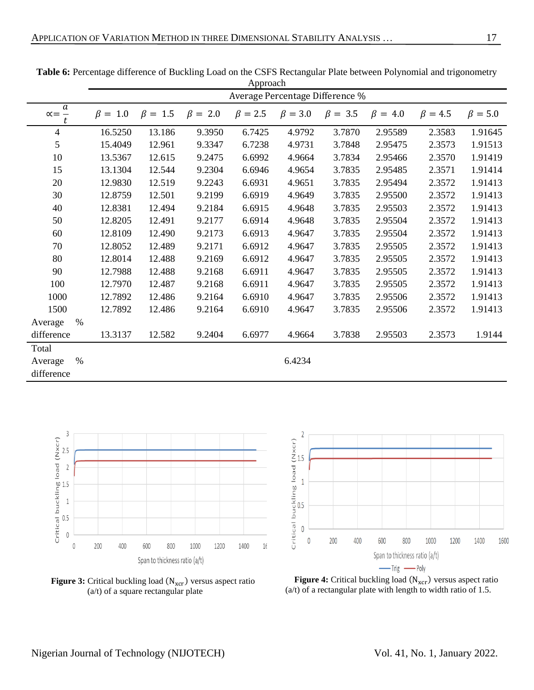|                                            | Approach      |               |               |                                 |               |               |               |               |               |  |
|--------------------------------------------|---------------|---------------|---------------|---------------------------------|---------------|---------------|---------------|---------------|---------------|--|
|                                            |               |               |               | Average Percentage Difference % |               |               |               |               |               |  |
| $\boldsymbol{a}$<br>$\alpha = \frac{1}{t}$ | $\beta = 1.0$ | $\beta = 1.5$ | $\beta = 2.0$ | $\beta = 2.5$                   | $\beta = 3.0$ | $\beta = 3.5$ | $\beta = 4.0$ | $\beta = 4.5$ | $\beta = 5.0$ |  |
| $\overline{4}$                             | 16.5250       | 13.186        | 9.3950        | 6.7425                          | 4.9792        | 3.7870        | 2.95589       | 2.3583        | 1.91645       |  |
| 5                                          | 15.4049       | 12.961        | 9.3347        | 6.7238                          | 4.9731        | 3.7848        | 2.95475       | 2.3573        | 1.91513       |  |
| 10                                         | 13.5367       | 12.615        | 9.2475        | 6.6992                          | 4.9664        | 3.7834        | 2.95466       | 2.3570        | 1.91419       |  |
| 15                                         | 13.1304       | 12.544        | 9.2304        | 6.6946                          | 4.9654        | 3.7835        | 2.95485       | 2.3571        | 1.91414       |  |
| 20                                         | 12.9830       | 12.519        | 9.2243        | 6.6931                          | 4.9651        | 3.7835        | 2.95494       | 2.3572        | 1.91413       |  |
| 30                                         | 12.8759       | 12.501        | 9.2199        | 6.6919                          | 4.9649        | 3.7835        | 2.95500       | 2.3572        | 1.91413       |  |
| 40                                         | 12.8381       | 12.494        | 9.2184        | 6.6915                          | 4.9648        | 3.7835        | 2.95503       | 2.3572        | 1.91413       |  |
| 50                                         | 12.8205       | 12.491        | 9.2177        | 6.6914                          | 4.9648        | 3.7835        | 2.95504       | 2.3572        | 1.91413       |  |
| 60                                         | 12.8109       | 12.490        | 9.2173        | 6.6913                          | 4.9647        | 3.7835        | 2.95504       | 2.3572        | 1.91413       |  |
| 70                                         | 12.8052       | 12.489        | 9.2171        | 6.6912                          | 4.9647        | 3.7835        | 2.95505       | 2.3572        | 1.91413       |  |
| 80                                         | 12.8014       | 12.488        | 9.2169        | 6.6912                          | 4.9647        | 3.7835        | 2.95505       | 2.3572        | 1.91413       |  |
| 90                                         | 12.7988       | 12.488        | 9.2168        | 6.6911                          | 4.9647        | 3.7835        | 2.95505       | 2.3572        | 1.91413       |  |
| 100                                        | 12.7970       | 12.487        | 9.2168        | 6.6911                          | 4.9647        | 3.7835        | 2.95505       | 2.3572        | 1.91413       |  |
| 1000                                       | 12.7892       | 12.486        | 9.2164        | 6.6910                          | 4.9647        | 3.7835        | 2.95506       | 2.3572        | 1.91413       |  |
| 1500                                       | 12.7892       | 12.486        | 9.2164        | 6.6910                          | 4.9647        | 3.7835        | 2.95506       | 2.3572        | 1.91413       |  |
| $\%$<br>Average                            |               |               |               |                                 |               |               |               |               |               |  |
| difference                                 | 13.3137       | 12.582        | 9.2404        | 6.6977                          | 4.9664        | 3.7838        | 2.95503       | 2.3573        | 1.9144        |  |
| Total                                      |               |               |               |                                 |               |               |               |               |               |  |
| $\%$<br>Average                            |               |               |               |                                 | 6.4234        |               |               |               |               |  |
| difference                                 |               |               |               |                                 |               |               |               |               |               |  |

Table 6: Percentage difference of Buckling Load on the CSFS Rectangular Plate between Polynomial and trigonometry



**Figure 3:** Critical buckling load (N<sub>xcr</sub>) versus aspect ratio (a/t) of a square rectangular plate



**Figure 4:** Critical buckling load (N<sub>xcr</sub>) versus aspect ratio (a/t) of a rectangular plate with length to width ratio of 1.5.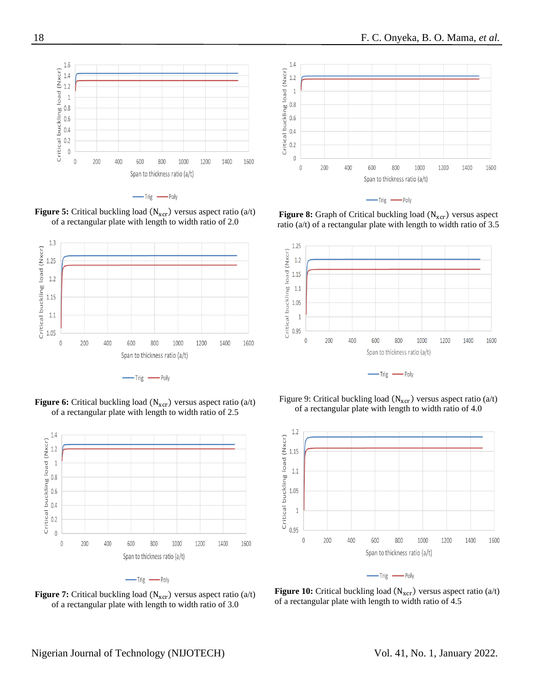

-Trig -Poly





**Figure 6:** Critical buckling load (N<sub>xcr</sub>) versus aspect ratio (a/t) of a rectangular plate with length to width ratio of 2.5





**Figure 7:** Critical buckling load  $(N_{\text{scr}})$  versus aspect ratio  $(a/t)$ of a rectangular plate with length to width ratio of 3.0



 $-\text{Trig}$   $-\text{Poly}$ 

Figure 8: Graph of Critical buckling load (N<sub>xcr</sub>) versus aspect ratio ( $a/t$ ) of a rectangular plate with length to width ratio of 3.5









-Trig -Poly

**Figure 10:** Critical buckling load (N<sub>xcr</sub>) versus aspect ratio (a/t) of a rectangular plate with length to width ratio of 4.5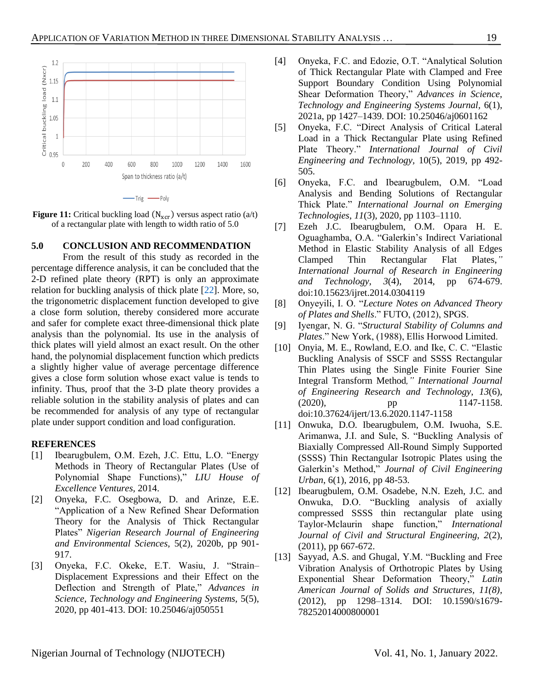

-Trig -Poly

**Figure 11:** Critical buckling load  $(N<sub>scr</sub>)$  versus aspect ratio  $(a/t)$ of a rectangular plate with length to width ratio of 5.0

**5.0 CONCLUSION AND RECOMMENDATION**

From the result of this study as recorded in the percentage difference analysis, it can be concluded that the 2-D refined plate theory (RPT) is only an approximate relation for buckling analysis of thick plate [\[22\]](#page-12-7). More, so, the trigonometric displacement function developed to give a close form solution, thereby considered more accurate and safer for complete exact three-dimensional thick plate analysis than the polynomial. Its use in the analysis of thick plates will yield almost an exact result. On the other hand, the polynomial displacement function which predicts a slightly higher value of average percentage difference gives a close form solution whose exact value is tends to infinity. Thus, proof that the 3-D plate theory provides a reliable solution in the stability analysis of plates and can be recommended for analysis of any type of rectangular plate under support condition and load configuration.

#### **REFERENCES**

- <span id="page-11-0"></span>[1] Ibearugbulem, O.M. Ezeh, J.C. Ettu, L.O. "Energy Methods in Theory of Rectangular Plates (Use of Polynomial Shape Functions)," *LIU House of Excellence Ventures,* 2014.
- <span id="page-11-1"></span>[2] Onyeka, F.C. Osegbowa, D. and Arinze, E.E. "Application of a New Refined Shear Deformation Theory for the Analysis of Thick Rectangular Plates" *Nigerian Research Journal of Engineering and Environmental Sciences,* 5(2), 2020b, pp 901- 917.
- <span id="page-11-2"></span>[3] Onyeka, F.C. Okeke, E.T. Wasiu, J. "Strain– Displacement Expressions and their Effect on the Deflection and Strength of Plate," *Advances in Science, Technology and Engineering Systems,* 5(5), 2020, pp 401-413. DOI: 10.25046/aj050551
- <span id="page-11-3"></span>[4] Onyeka, F.C. and Edozie, O.T. "Analytical Solution of Thick Rectangular Plate with Clamped and Free Support Boundary Condition Using Polynomial Shear Deformation Theory," *Advances in Science, Technology and Engineering Systems Journal,* 6(1), 2021a, pp 1427–1439. DOI: 10.25046/aj0601162
- <span id="page-11-4"></span>[5] Onyeka, F.C. "Direct Analysis of Critical Lateral Load in a Thick Rectangular Plate using Refined Plate Theory." *International Journal of Civil Engineering and Technology,* 10(5), 2019, pp 492- 505.
- <span id="page-11-5"></span>[6] Onyeka, F.C. and Ibearugbulem, O.M. "Load Analysis and Bending Solutions of Rectangular Thick Plate." *International Journal on Emerging Technologies*, *11*(3), 2020, pp 1103–1110.
- <span id="page-11-6"></span>[7] Ezeh J.C. Ibearugbulem, O.M. Opara H. E. Oguaghamba, O.A. "Galerkin's Indirect Variational Method in Elastic Stability Analysis of all Edges Clamped Thin Rectangular Flat Plates,*" International Journal of Research in Engineering and Technology*, *3*(4), 2014, pp 674-679. doi:10.15623/ijret.2014.0304119
- <span id="page-11-7"></span>[8] Onyeyili, I. O. "*Lecture Notes on Advanced Theory of Plates and Shells*." FUTO, (2012), SPGS.
- <span id="page-11-8"></span>[9] Iyengar, N. G. "*Structural Stability of Columns and Plates*." New York, (1988), Ellis Horwood Limited.
- <span id="page-11-9"></span>[10] Onyia, M. E., Rowland, E.O. and Ike, C. C. "Elastic Buckling Analysis of SSCF and SSSS Rectangular Thin Plates using the Single Finite Fourier Sine Integral Transform Method*," International Journal of Engineering Research and Technology*, *13*(6), (2020), pp 1147-1158. doi:10.37624/ijert/13.6.2020.1147-1158
- <span id="page-11-10"></span>[11] Onwuka, D.O. Ibearugbulem, O.M. Iwuoha, S.E. Arimanwa, J.I. and Sule, S. "Buckling Analysis of Biaxially Compressed All-Round Simply Supported (SSSS) Thin Rectangular Isotropic Plates using the Galerkin's Method," *Journal of Civil Engineering Urban*, 6(1), 2016, pp 48-53.
- <span id="page-11-11"></span>[12] Ibearugbulem, O.M. Osadebe, N.N. Ezeh, J.C. and Onwuka, D.O. "Buckling analysis of axially compressed SSSS thin rectangular plate using Taylor-Mclaurin shape function," *International Journal of Civil and Structural Engineering, 2*(2), (2011), pp 667-672.
- <span id="page-11-12"></span>[13] Sayyad, A.S. and Ghugal, Y.M. "Buckling and Free Vibration Analysis of Orthotropic Plates by Using Exponential Shear Deformation Theory," *Latin American Journal of Solids and Structures, 11(8)*, (2012), pp 1298–1314. DOI: 10.1590/s1679- 78252014000800001